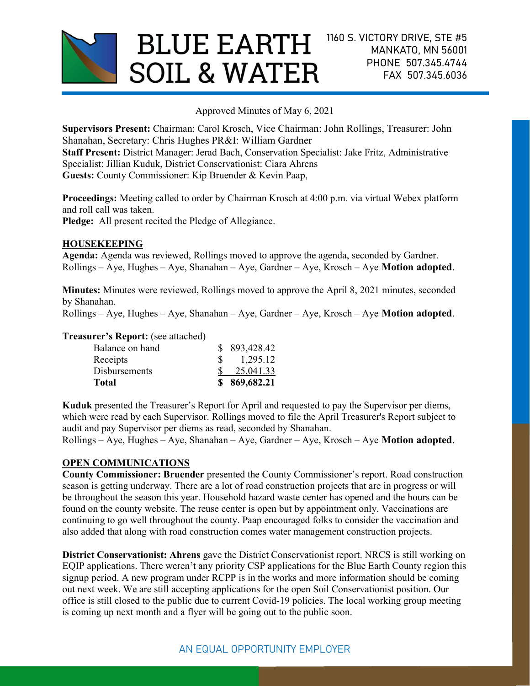

Approved Minutes of May 6, 2021

Supervisors Present: Chairman: Carol Krosch, Vice Chairman: John Rollings, Treasurer: John Shanahan, Secretary: Chris Hughes PR&I: William Gardner Staff Present: District Manager: Jerad Bach, Conservation Specialist: Jake Fritz, Administrative Specialist: Jillian Kuduk, District Conservationist: Ciara Ahrens Guests: County Commissioner: Kip Bruender & Kevin Paap,

Proceedings: Meeting called to order by Chairman Krosch at 4:00 p.m. via virtual Webex platform and roll call was taken.

Pledge: All present recited the Pledge of Allegiance.

## HOUSEKEEPING

Agenda: Agenda was reviewed, Rollings moved to approve the agenda, seconded by Gardner. Rollings – Aye, Hughes – Aye, Shanahan – Aye, Gardner – Aye, Krosch – Aye Motion adopted.

Minutes: Minutes were reviewed, Rollings moved to approve the April 8, 2021 minutes, seconded by Shanahan.

Rollings – Aye, Hughes – Aye, Shanahan – Aye, Gardner – Aye, Krosch – Aye Motion adopted.

#### Treasurer's Report: (see attached)

| Total                | \$869,682.21 |
|----------------------|--------------|
| <b>Disbursements</b> | 25,041.33    |
| Receipts             | 1,295.12     |
| Balance on hand      | \$893,428.42 |
|                      |              |

Kuduk presented the Treasurer's Report for April and requested to pay the Supervisor per diems, which were read by each Supervisor. Rollings moved to file the April Treasurer's Report subject to audit and pay Supervisor per diems as read, seconded by Shanahan.

 $Rollings - Ave, Hughes - Ave, Shannon - Ave, Garden - Ave, Krosch - Ave, Motion adopted.$ 

#### OPEN COMMUNICATIONS

County Commissioner: Bruender presented the County Commissioner's report. Road construction season is getting underway. There are a lot of road construction projects that are in progress or will be throughout the season this year. Household hazard waste center has opened and the hours can be found on the county website. The reuse center is open but by appointment only. Vaccinations are continuing to go well throughout the county. Paap encouraged folks to consider the vaccination and also added that along with road construction comes water management construction projects.

District Conservationist: Ahrens gave the District Conservationist report. NRCS is still working on EQIP applications. There weren't any priority CSP applications for the Blue Earth County region this signup period. A new program under RCPP is in the works and more information should be coming out next week. We are still accepting applications for the open Soil Conservationist position. Our office is still closed to the public due to current Covid-19 policies. The local working group meeting is coming up next month and a flyer will be going out to the public soon.

# AN EQUAL OPPORTUNITY EMPLOYER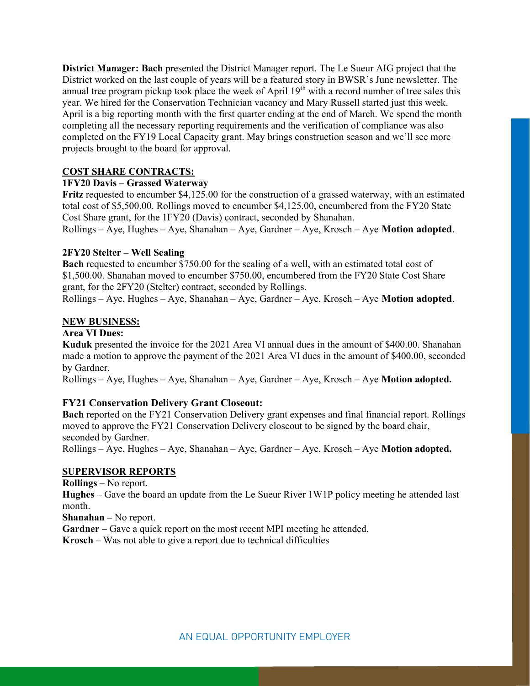District Manager: Bach presented the District Manager report. The Le Sueur AIG project that the District worked on the last couple of years will be a featured story in BWSR's June newsletter. The annual tree program pickup took place the week of April  $19<sup>th</sup>$  with a record number of tree sales this year. We hired for the Conservation Technician vacancy and Mary Russell started just this week. April is a big reporting month with the first quarter ending at the end of March. We spend the month completing all the necessary reporting requirements and the verification of compliance was also completed on the FY19 Local Capacity grant. May brings construction season and we'll see more projects brought to the board for approval.

# COST SHARE CONTRACTS:

# 1FY20 Davis – Grassed Waterway

Fritz requested to encumber \$4,125.00 for the construction of a grassed waterway, with an estimated total cost of \$5,500.00. Rollings moved to encumber \$4,125.00, encumbered from the FY20 State Cost Share grant, for the 1FY20 (Davis) contract, seconded by Shanahan.  $Rollings - Aye$ , Hughes – Aye, Shanahan – Aye, Gardner – Aye, Krosch – Aye **Motion adopted**.

# 2FY20 Stelter – Well Sealing

Bach requested to encumber \$750.00 for the sealing of a well, with an estimated total cost of \$1,500.00. Shanahan moved to encumber \$750.00, encumbered from the FY20 State Cost Share grant, for the 2FY20 (Stelter) contract, seconded by Rollings.

 $Rollings - Aye$ , Hughes – Aye, Shanahan – Aye, Gardner – Aye, Krosch – Aye **Motion adopted**.

## NEW BUSINESS:

## Area VI Dues:

Kuduk presented the invoice for the 2021 Area VI annual dues in the amount of \$400.00. Shanahan made a motion to approve the payment of the 2021 Area VI dues in the amount of \$400.00, seconded by Gardner.

 $Rollings - Aye$ , Hughes – Aye, Shanahan – Aye, Gardner – Aye, Krosch – Aye **Motion adopted.** 

# FY21 Conservation Delivery Grant Closeout:

Bach reported on the FY21 Conservation Delivery grant expenses and final financial report. Rollings moved to approve the FY21 Conservation Delivery closeout to be signed by the board chair, seconded by Gardner.

 $Rollings - Aye$ , Hughes – Aye, Shanahan – Aye, Gardner – Aye, Krosch – Aye **Motion adopted.** 

## SUPERVISOR REPORTS

Rollings – No report.

Hughes – Gave the board an update from the Le Sueur River 1W1P policy meeting he attended last month.

Shanahan – No report.

Gardner – Gave a quick report on the most recent MPI meeting he attended.

Krosch – Was not able to give a report due to technical difficulties